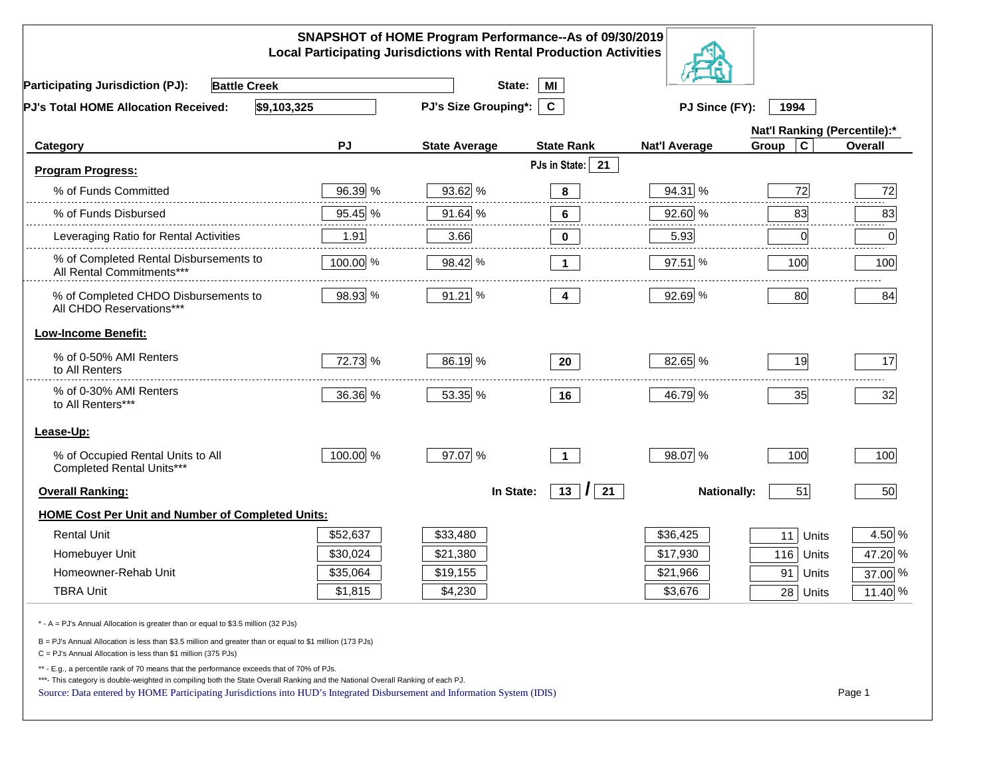|                                                                                                                                                                                                                                                                                                                                                          |          | SNAPSHOT of HOME Program Performance--As of 09/30/2019<br><b>Local Participating Jurisdictions with Rental Production Activities</b> |                    |                      |                              |         |
|----------------------------------------------------------------------------------------------------------------------------------------------------------------------------------------------------------------------------------------------------------------------------------------------------------------------------------------------------------|----------|--------------------------------------------------------------------------------------------------------------------------------------|--------------------|----------------------|------------------------------|---------|
| <b>Battle Creek</b><br><b>Participating Jurisdiction (PJ):</b>                                                                                                                                                                                                                                                                                           |          | State:                                                                                                                               | MI                 |                      |                              |         |
| \$9,103,325<br>PJ's Total HOME Allocation Received:                                                                                                                                                                                                                                                                                                      |          | PJ's Size Grouping*:                                                                                                                 | $\mathbf{c}$       | PJ Since (FY):       | 1994                         |         |
|                                                                                                                                                                                                                                                                                                                                                          |          |                                                                                                                                      |                    |                      | Nat'l Ranking (Percentile):* |         |
| Category                                                                                                                                                                                                                                                                                                                                                 | PJ       | <b>State Average</b>                                                                                                                 | <b>State Rank</b>  | <b>Nat'l Average</b> | $\mathbf c$<br>Group         | Overall |
| <b>Program Progress:</b>                                                                                                                                                                                                                                                                                                                                 |          |                                                                                                                                      | PJs in State: 21   |                      |                              |         |
| % of Funds Committed                                                                                                                                                                                                                                                                                                                                     | 96.39 %  | 93.62 %                                                                                                                              | 8                  | 94.31 %              | 72                           | 72      |
| % of Funds Disbursed                                                                                                                                                                                                                                                                                                                                     | 95.45 %  | 91.64 %                                                                                                                              | 6                  | 92.60 %              | 83                           | 83      |
| Leveraging Ratio for Rental Activities                                                                                                                                                                                                                                                                                                                   | 1.91     | 3.66                                                                                                                                 | 0                  | 5.93                 | 0                            | .<br>0  |
| % of Completed Rental Disbursements to<br>All Rental Commitments***                                                                                                                                                                                                                                                                                      | 100.00 % | 98.42 %                                                                                                                              | $\mathbf 1$        | 97.51 %              | 100                          | 100     |
| % of Completed CHDO Disbursements to<br>All CHDO Reservations***                                                                                                                                                                                                                                                                                         | 98.93 %  | 91.21 %                                                                                                                              | 4                  | 92.69 %              | 80                           | 84      |
| <b>Low-Income Benefit:</b>                                                                                                                                                                                                                                                                                                                               |          |                                                                                                                                      |                    |                      |                              |         |
| % of 0-50% AMI Renters<br>to All Renters                                                                                                                                                                                                                                                                                                                 | 72.73 %  | 86.19 %                                                                                                                              | 20                 | 82.65 %              | 19                           | 17      |
| % of 0-30% AMI Renters<br>to All Renters***                                                                                                                                                                                                                                                                                                              | 36.36 %  | 53.35 %                                                                                                                              | 16                 | 46.79 %              | 35                           | 32      |
| Lease-Up:                                                                                                                                                                                                                                                                                                                                                |          |                                                                                                                                      |                    |                      |                              |         |
| % of Occupied Rental Units to All<br>Completed Rental Units***                                                                                                                                                                                                                                                                                           | 100.00 % | 97.07 %                                                                                                                              | $\overline{1}$     | 98.07 %              | 100                          | 100     |
| <b>Overall Ranking:</b>                                                                                                                                                                                                                                                                                                                                  |          | In State:                                                                                                                            | $13$ $\vert$<br>21 | <b>Nationally:</b>   | 51                           | 50      |
| <b>HOME Cost Per Unit and Number of Completed Units:</b>                                                                                                                                                                                                                                                                                                 |          |                                                                                                                                      |                    |                      |                              |         |
| <b>Rental Unit</b>                                                                                                                                                                                                                                                                                                                                       | \$52,637 | \$33,480                                                                                                                             |                    | \$36,425             | 11<br>Units                  | 4.50 %  |
| Homebuyer Unit                                                                                                                                                                                                                                                                                                                                           | \$30,024 | \$21,380                                                                                                                             |                    | \$17,930             | 116 Units                    | 47.20 % |
| Homeowner-Rehab Unit                                                                                                                                                                                                                                                                                                                                     | \$35,064 | \$19,155                                                                                                                             |                    | \$21,966             | 91<br>Units                  | 37.00 % |
| <b>TBRA Unit</b>                                                                                                                                                                                                                                                                                                                                         | \$1,815  | \$4,230                                                                                                                              |                    | \$3,676              | 28 Units                     | 11.40 % |
| * - A = PJ's Annual Allocation is greater than or equal to \$3.5 million (32 PJs)                                                                                                                                                                                                                                                                        |          |                                                                                                                                      |                    |                      |                              |         |
| B = PJ's Annual Allocation is less than \$3.5 million and greater than or equal to \$1 million (173 PJs)<br>$C = PJ's$ Annual Allocation is less than \$1 million (375 PJs)                                                                                                                                                                              |          |                                                                                                                                      |                    |                      |                              |         |
| ** - E.g., a percentile rank of 70 means that the performance exceeds that of 70% of PJs.<br>***- This category is double-weighted in compiling both the State Overall Ranking and the National Overall Ranking of each PJ.<br>Source: Data entered by HOME Participating Jurisdictions into HUD's Integrated Disbursement and Information System (IDIS) |          |                                                                                                                                      |                    |                      |                              | Page 1  |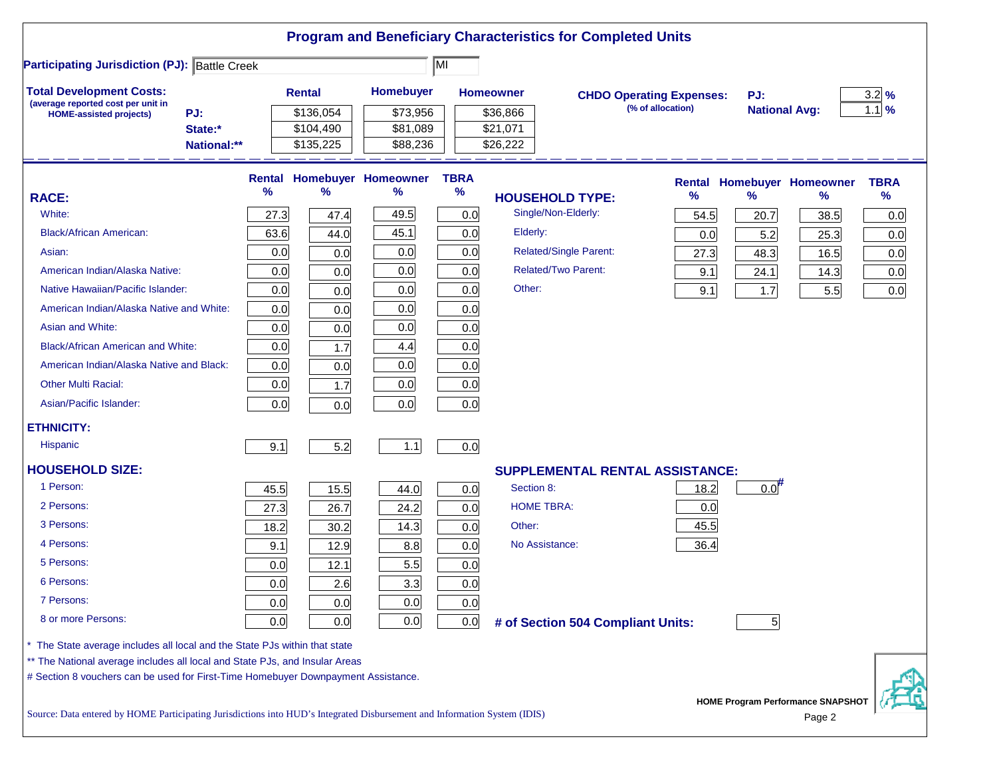|                                                                                                                           |      |               |                            |             |                        | <b>Program and Beneficiary Characteristics for Completed Units</b> |                   |                      |                                             |                  |
|---------------------------------------------------------------------------------------------------------------------------|------|---------------|----------------------------|-------------|------------------------|--------------------------------------------------------------------|-------------------|----------------------|---------------------------------------------|------------------|
| <b>Participating Jurisdiction (PJ): Battle Creek</b>                                                                      |      |               |                            | ĪМI         |                        |                                                                    |                   |                      |                                             |                  |
| <b>Total Development Costs:</b>                                                                                           |      | <b>Rental</b> | <b>Homebuyer</b>           |             | <b>Homeowner</b>       | <b>CHDO Operating Expenses:</b>                                    |                   | PJ:                  |                                             | $3.2\frac{9}{6}$ |
| (average reported cost per unit in<br>PJ:<br><b>HOME-assisted projects)</b>                                               |      | \$136,054     | \$73,956                   |             | \$36,866               |                                                                    | (% of allocation) | <b>National Avg:</b> |                                             | $1.1\%$          |
| State:*                                                                                                                   |      | \$104,490     | \$81,089                   |             | \$21,071               |                                                                    |                   |                      |                                             |                  |
| National:**                                                                                                               |      | \$135,225     | \$88,236                   |             | \$26,222               |                                                                    |                   |                      |                                             |                  |
|                                                                                                                           |      |               | Rental Homebuyer Homeowner | <b>TBRA</b> |                        |                                                                    |                   |                      | <b>Rental Homebuyer Homeowner</b>           | <b>TBRA</b>      |
| <b>RACE:</b>                                                                                                              | %    | %             | %                          | $\%$        | <b>HOUSEHOLD TYPE:</b> |                                                                    | %                 | $\frac{9}{6}$        | %                                           | $\%$             |
| White:                                                                                                                    | 27.3 | 47.4          | 49.5                       | 0.0         | Single/Non-Elderly:    |                                                                    | 54.5              | 20.7                 | 38.5                                        | 0.0              |
| <b>Black/African American:</b>                                                                                            | 63.6 | 44.0          | 45.1                       | 0.0         | Elderly:               |                                                                    | 0.0               | 5.2                  | 25.3                                        | 0.0              |
| Asian:                                                                                                                    | 0.0  | 0.0           | 0.0                        | 0.0         |                        | <b>Related/Single Parent:</b>                                      | 27.3              | 48.3                 | 16.5                                        | 0.0              |
| American Indian/Alaska Native:                                                                                            | 0.0  | 0.0           | 0.0                        | 0.0         |                        | <b>Related/Two Parent:</b>                                         | 9.1               | 24.1                 | 14.3                                        | 0.0              |
| Native Hawaiian/Pacific Islander:                                                                                         | 0.0  | 0.0           | 0.0                        | 0.0         | Other:                 |                                                                    | 9.1               | 1.7                  | 5.5                                         | 0.0              |
| American Indian/Alaska Native and White:                                                                                  | 0.0  | 0.0           | 0.0                        | 0.0         |                        |                                                                    |                   |                      |                                             |                  |
| Asian and White:                                                                                                          | 0.0  | 0.0           | 0.0                        | 0.0         |                        |                                                                    |                   |                      |                                             |                  |
| <b>Black/African American and White:</b>                                                                                  | 0.0  | 1.7           | 4.4                        | 0.0         |                        |                                                                    |                   |                      |                                             |                  |
| American Indian/Alaska Native and Black:                                                                                  | 0.0  | 0.0           | 0.0                        | 0.0         |                        |                                                                    |                   |                      |                                             |                  |
| <b>Other Multi Racial:</b>                                                                                                | 0.0  | 1.7           | 0.0                        | 0.0         |                        |                                                                    |                   |                      |                                             |                  |
| Asian/Pacific Islander:                                                                                                   | 0.0  | 0.0           | 0.0                        | 0.0         |                        |                                                                    |                   |                      |                                             |                  |
| <b>ETHNICITY:</b>                                                                                                         |      |               |                            |             |                        |                                                                    |                   |                      |                                             |                  |
| <b>Hispanic</b>                                                                                                           | 9.1  | 5.2           | $1.1$                      | 0.0         |                        |                                                                    |                   |                      |                                             |                  |
| <b>HOUSEHOLD SIZE:</b>                                                                                                    |      |               |                            |             |                        | <b>SUPPLEMENTAL RENTAL ASSISTANCE:</b>                             |                   |                      |                                             |                  |
| 1 Person:                                                                                                                 | 45.5 | 15.5          | 44.0                       | 0.0         | Section 8:             |                                                                    | 18.2              | $0.0$ <sup>#</sup>   |                                             |                  |
| 2 Persons:                                                                                                                | 27.3 | 26.7          | 24.2                       | 0.0         | <b>HOME TBRA:</b>      |                                                                    | 0.0               |                      |                                             |                  |
| 3 Persons:                                                                                                                | 18.2 | 30.2          | 14.3                       | 0.0         | Other:                 |                                                                    | 45.5              |                      |                                             |                  |
| 4 Persons:                                                                                                                | 9.1  | 12.9          | 8.8                        | 0.0         | No Assistance:         |                                                                    | 36.4              |                      |                                             |                  |
| 5 Persons:                                                                                                                | 0.0  | 12.1          | 5.5                        | 0.0         |                        |                                                                    |                   |                      |                                             |                  |
| 6 Persons:                                                                                                                | 0.0  | 2.6           | 3.3                        | 0.0         |                        |                                                                    |                   |                      |                                             |                  |
| 7 Persons:                                                                                                                | 0.0  | 0.0           | 0.0                        | 0.0         |                        |                                                                    |                   |                      |                                             |                  |
| 8 or more Persons:                                                                                                        | 0.0  | 0.0           | 0.0                        | 0.0         |                        | # of Section 504 Compliant Units:                                  |                   | 5                    |                                             |                  |
| * The State average includes all local and the State PJs within that state                                                |      |               |                            |             |                        |                                                                    |                   |                      |                                             |                  |
| ** The National average includes all local and State PJs, and Insular Areas                                               |      |               |                            |             |                        |                                                                    |                   |                      |                                             |                  |
| # Section 8 vouchers can be used for First-Time Homebuyer Downpayment Assistance.                                         |      |               |                            |             |                        |                                                                    |                   |                      |                                             |                  |
| Source: Data entered by HOME Participating Jurisdictions into HUD's Integrated Disbursement and Information System (IDIS) |      |               |                            |             |                        |                                                                    |                   |                      | HOME Program Performance SNAPSHOT<br>Page 2 |                  |